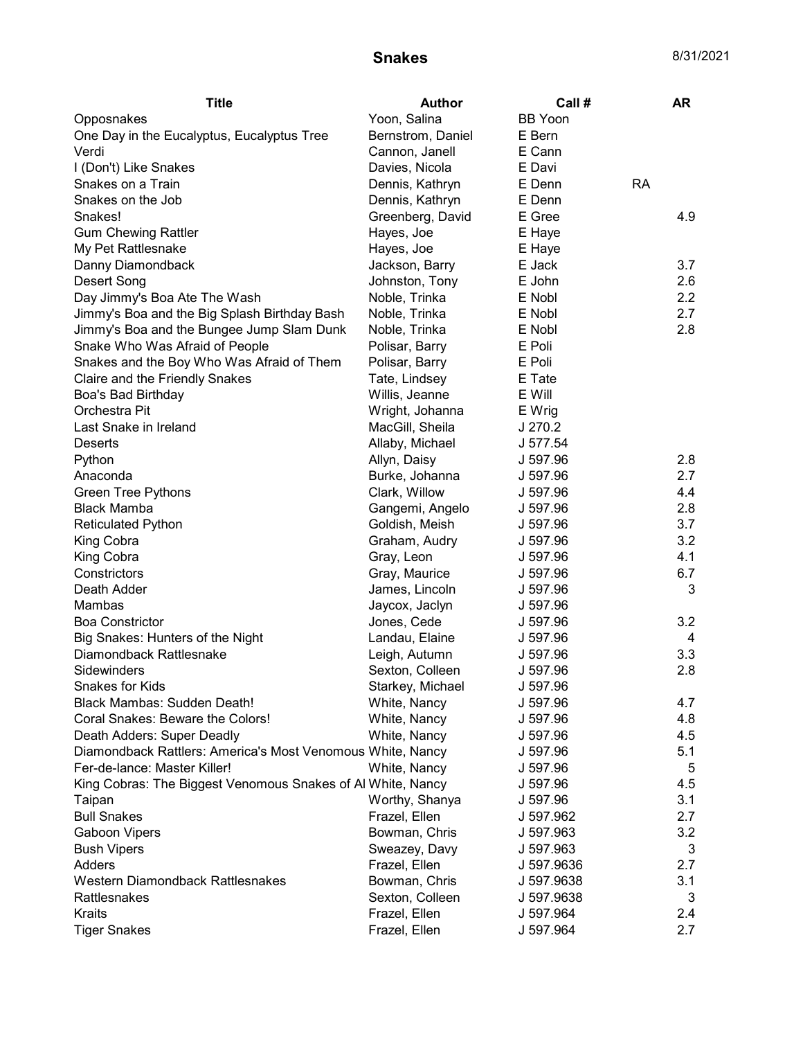## **Snakes** 8/31/2021

| <b>Title</b>                                                | Author            | Call#          | AR        |
|-------------------------------------------------------------|-------------------|----------------|-----------|
| Opposnakes                                                  | Yoon, Salina      | <b>BB</b> Yoon |           |
| One Day in the Eucalyptus, Eucalyptus Tree                  | Bernstrom, Daniel | E Bern         |           |
| Verdi                                                       | Cannon, Janell    | E Cann         |           |
| I (Don't) Like Snakes                                       | Davies, Nicola    | E Davi         |           |
| Snakes on a Train                                           | Dennis, Kathryn   | E Denn         | <b>RA</b> |
| Snakes on the Job                                           | Dennis, Kathryn   | E Denn         |           |
| Snakes!                                                     | Greenberg, David  | E Gree         | 4.9       |
| <b>Gum Chewing Rattler</b>                                  | Hayes, Joe        | E Haye         |           |
| My Pet Rattlesnake                                          | Hayes, Joe        | E Haye         |           |
| Danny Diamondback                                           | Jackson, Barry    | E Jack         | 3.7       |
| Desert Song                                                 | Johnston, Tony    | E John         | 2.6       |
| Day Jimmy's Boa Ate The Wash                                | Noble, Trinka     | E Nobl         | 2.2       |
| Jimmy's Boa and the Big Splash Birthday Bash                | Noble, Trinka     | E Nobl         | 2.7       |
| Jimmy's Boa and the Bungee Jump Slam Dunk                   | Noble, Trinka     | E Nobl         | 2.8       |
| Snake Who Was Afraid of People                              | Polisar, Barry    | E Poli         |           |
| Snakes and the Boy Who Was Afraid of Them                   | Polisar, Barry    | E Poli         |           |
| Claire and the Friendly Snakes                              | Tate, Lindsey     | E Tate         |           |
| Boa's Bad Birthday                                          | Willis, Jeanne    | E Will         |           |
| Orchestra Pit                                               | Wright, Johanna   | E Wrig         |           |
| Last Snake in Ireland                                       | MacGill, Sheila   | J 270.2        |           |
| <b>Deserts</b>                                              | Allaby, Michael   | J 577.54       |           |
| Python                                                      | Allyn, Daisy      | J 597.96       | 2.8       |
| Anaconda                                                    | Burke, Johanna    | J 597.96       | 2.7       |
| <b>Green Tree Pythons</b>                                   | Clark, Willow     | J 597.96       | 4.4       |
| <b>Black Mamba</b>                                          | Gangemi, Angelo   | J 597.96       | 2.8       |
| <b>Reticulated Python</b>                                   | Goldish, Meish    | J 597.96       | 3.7       |
| King Cobra                                                  | Graham, Audry     | J 597.96       | 3.2       |
| King Cobra                                                  | Gray, Leon        | J 597.96       | 4.1       |
| Constrictors                                                | Gray, Maurice     | J 597.96       | 6.7       |
| Death Adder                                                 | James, Lincoln    | J 597.96       | 3         |
| Mambas                                                      | Jaycox, Jaclyn    | J 597.96       |           |
| <b>Boa Constrictor</b>                                      | Jones, Cede       | J 597.96       | 3.2       |
| Big Snakes: Hunters of the Night                            | Landau, Elaine    | J 597.96       | 4         |
| Diamondback Rattlesnake                                     | Leigh, Autumn     | J 597.96       | 3.3       |
| Sidewinders                                                 | Sexton, Colleen   | J 597.96       | 2.8       |
| Snakes for Kids                                             | Starkey, Michael  | J 597.96       |           |
| <b>Black Mambas: Sudden Death!</b>                          | White, Nancy      | J 597.96       | 4.7       |
| Coral Snakes: Beware the Colors!                            | White, Nancy      | J 597.96       | 4.8       |
| Death Adders: Super Deadly                                  | White, Nancy      | J 597.96       | 4.5       |
| Diamondback Rattlers: America's Most Venomous White, Nancy  |                   | J 597.96       | 5.1       |
| Fer-de-lance: Master Killer!                                | White, Nancy      | J 597.96       | 5         |
| King Cobras: The Biggest Venomous Snakes of Al White, Nancy |                   | J 597.96       | 4.5       |
| Taipan                                                      | Worthy, Shanya    | J 597.96       | 3.1       |
| <b>Bull Snakes</b>                                          | Frazel, Ellen     | J 597.962      | 2.7       |
| <b>Gaboon Vipers</b>                                        | Bowman, Chris     | J 597.963      | 3.2       |
| <b>Bush Vipers</b>                                          | Sweazey, Davy     | J 597.963      | 3         |
| Adders                                                      | Frazel, Ellen     | J 597.9636     | 2.7       |
| Western Diamondback Rattlesnakes                            | Bowman, Chris     | J 597.9638     | 3.1       |
| Rattlesnakes                                                | Sexton, Colleen   | J 597.9638     | 3         |
| Kraits                                                      | Frazel, Ellen     | J 597.964      | 2.4       |
| <b>Tiger Snakes</b>                                         | Frazel, Ellen     | J 597.964      | 2.7       |